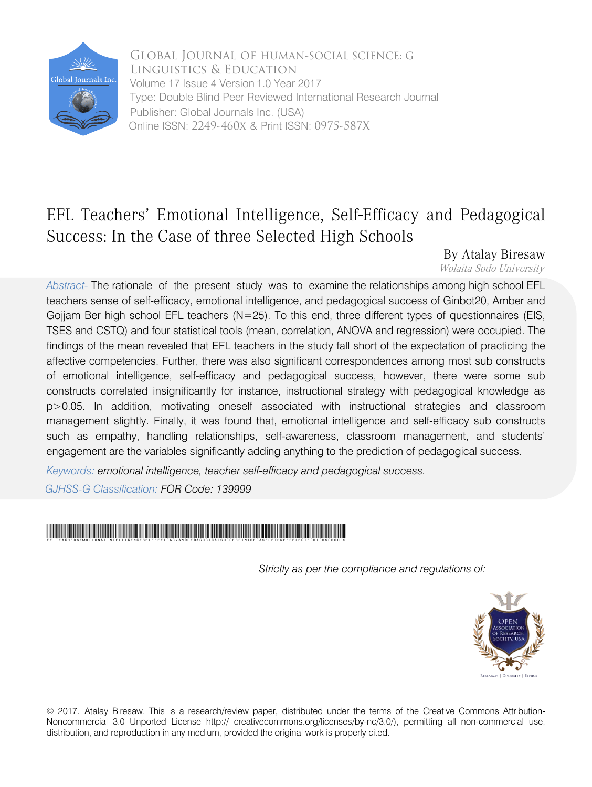

Global Journal of HUMAN-SOCIAL SCIENCE: G Linguistics & Education Volume 17 Issue 4 Version 1.0 Year 2017 Type: Double Blind Peer Reviewed International Research Journal Publisher: Global Journals Inc. (USA) Online ISSN: 2249-460x & Print ISSN: 0975-587X

# EFL Teachers' Emotional Intelligence, Self-Efficacy and Pedagogical Success: In the Case of three Selected High Schools

 By Atalay Biresaw Wolaita Sodo University

*Abstract-* The rationale of the present study was to examine the relationships among high school EFL teachers sense of self-efficacy, emotional intelligence, and pedagogical success of Ginbot20, Amber and Gojjam Ber high school EFL teachers  $(N=25)$ . To this end, three different types of questionnaires (EIS, TSES and CSTQ) and four statistical tools (mean, correlation, ANOVA and regression) were occupied. The findings of the mean revealed that EFL teachers in the study fall short of the expectation of practicing the affective competencies. Further, there was also significant correspondences among most sub constructs of emotional intelligence, self-efficacy and pedagogical success, however, there were some sub constructs correlated insignificantly for instance, instructional strategy with pedagogical knowledge as p>0.05. In addition, motivating oneself associated with instructional strategies and classroom management slightly. Finally, it was found that, emotional intelligence and self-efficacy sub constructs such as empathy, handling relationships, self-awareness, classroom management, and students' engagement are the variables significantly adding anything to the prediction of pedagogical success.

*Keywords: emotional intelligence, teacher self-efficacy and pedagogical success.*

*GJHSS-G Classification: FOR Code: 139999*

# EFLTeachersEmotionalIntelligenceSelfEfficacyandPedagogicalSuccessIntheCaseofthreeSelectedHighSchools

 *Strictly as per the compliance and regulations of:*



© 2017. Atalay Biresaw. This is a research/review paper, distributed under the terms of the Creative Commons Attribution-Noncommercial 3.0 Unported License http:// creativecommons.org/licenses/by-nc/3.0/), permitting all non-commercial use, distribution, and reproduction in any medium, provided the original work is properly cited.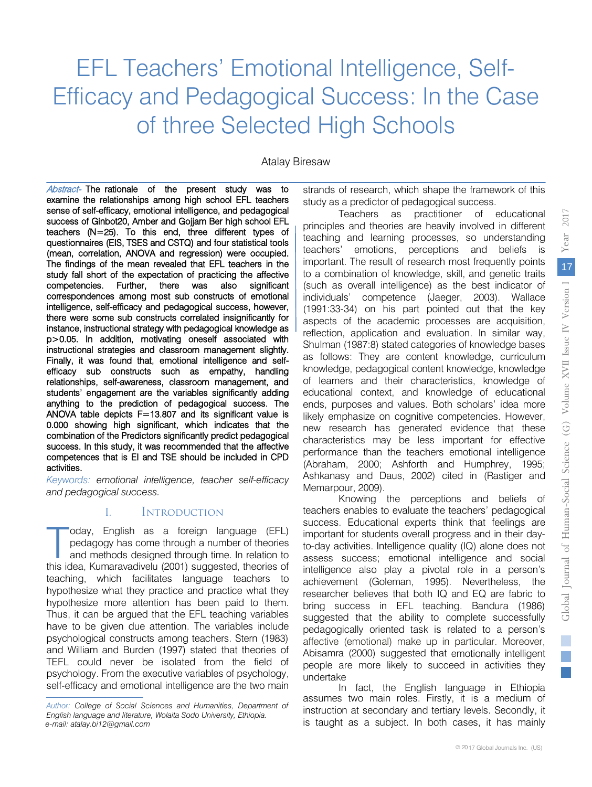# EFL Teachers' Emotional Intelligence, Self-Efficacy and Pedagogical Success: In the Case of three Selected High Schools

Atalay Biresaw

Abstract- The rationale of the present study was to success of Ginbot20, Amber and Gojjam Ber high school EFL examine the relationships among high school EFL teachers sense of self-efficacy, emotional intelligence, and pedagogical teachers (N=25). To this end, three different types of questionnaires (EIS, TSES and CSTQ) and four statistical tools (mean, correlation, ANOVA and regression) were occupied. The findings of the mean revealed that EFL teachers in the study fall short of the expectation of practicing the affective competencies. Further, there was also significant correspondences among most sub constructs of emotional intelligence, self-efficacy and pedagogical success, however, there were some sub constructs correlated insignificantly for instance, instructional strategy with pedagogical knowledge as p>0.05. In addition, motivating oneself associated with instructional strategies and classroom management slightly. relationships, self-awareness, classroom management, and Finally, it was found that, emotional intelligence and selfefficacy sub constructs such as empathy, handling students' engagement are the variables significantly adding anything to the prediction of pedagogical success. The ANOVA table depicts F=13.807 and its significant value is 0.000 showing high significant, which indicates that the combination of the Predictors significantly predict pedagogical success. In this study, it was recommended that the affective competences that is EI and TSE should be included in CPD activities.

 *and pedagogical success. Keywords: emotional intelligence, teacher self-efficacy* 

#### I. Introduction

oday, English as a foreign language (EFL) pedagogy has come through a number of theories and methods designed through time. In relation to this idea, Kumaravadivelu (2001) suggested, theories of teaching, which facilitates language teachers to hypothesize what they practice and practice what they hypothesize more attention has been paid to them. Thus, it can be argued that the EFL teaching variables have to be given due attention. The variables include psychological constructs among teachers. Stern (1983) and William and Burden (1997) stated that theories of TEFL could never be isolated from the field of psychology. From the executive variables of psychology, self-efficacy and emotional intelligence are the two main strands of research, which shape the framework of this study as a predictor of pedagogical success.

Teachers as practitioner of educational principles and theories are heavily involved in different teaching and learning processes, so understanding teachers' emotions, perceptions and beliefs is important. The result of research most frequently points to a combination of knowledge, skill, and genetic traits (such as overall intelligence) as the best indicator of individuals' competence (Jaeger, 2003). Wallace (1991:33-34) on his part pointed out that the key aspects of the academic processes are acquisition, reflection, application and evaluation. In similar way, Shulman (1987:8) stated categories of knowledge bases as follows: They are content knowledge, curriculum knowledge, pedagogical content knowledge, knowledge of learners and their characteristics, knowledge of educational context, and knowledge of educational ends, purposes and values. Both scholars' idea more likely emphasize on cognitive competencies. However, new research has generated evidence that these characteristics may be less important for effective performance than the teachers emotional intelligence (Abraham, 2000; Ashforth and Humphrey, 1995; Ashkanasy and Daus, 2002) cited in (Rastiger and Memarpour, 2009).

Knowing the perceptions and beliefs of teachers enables to evaluate the teachers' pedagogical success. Educational experts think that feelings are important for students overall progress and in their dayto-day activities. Intelligence quality (IQ) alone does not assess success; emotional intelligence and social intelligence also play a pivotal role in a person's achievement (Goleman, 1995). Nevertheless, the researcher believes that both IQ and EQ are fabric to bring success in EFL teaching. Bandura (1986) suggested that the ability to complete successfully pedagogically oriented task is related to a person's affective (emotional) make up in particular. Moreover, Abisamra (2000) suggested that emotionally intelligent people are more likely to succeed in activities they undertake oday, English as a foreign language (EFL) important for studential experis trim that leelings are<br>pedagogy has come through a number of theories to-day activities. Intelligence quality (IQ) alone does not<br>and methods desig

> In fact, the English language in Ethiopia assumes two main roles. Firstly, it is a medium of instruction at secondary and tertiary levels. Secondly, it is taught as a subject. In both cases, it has mainly

2017

*Author: College of Social Sciences and Humanities, Department of English language and literature, Wolaita Sodo University, Ethiopia. e-mail: atalay.bi12@gmail.com*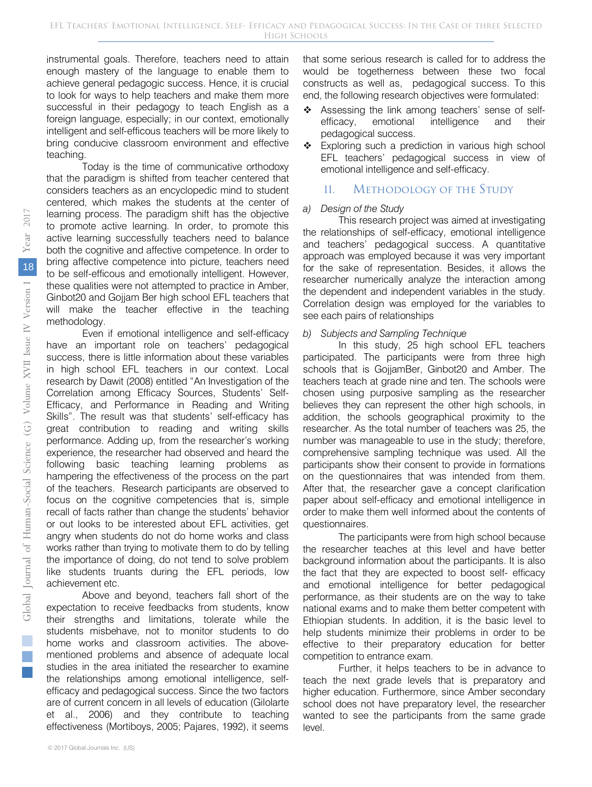instrumental goals. Therefore, teachers need to attain enough mastery of the language to enable them to achieve general pedagogic success. Hence, it is crucial to look for ways to help teachers and make them more successful in their pedagogy to teach English as a foreign language, especially; in our context, emotionally intelligent and self-efficous teachers will be more likely to bring conducive classroom environment and effective teaching.

Today is the time of communicative orthodoxy that the paradigm is shifted from teacher centered that considers teachers as an encyclopedic mind to student centered, which makes the students at the center of learning process. The paradigm shift has the objective to promote active learning. In order, to promote this active learning successfully teachers need to balance both the cognitive and affective competence. In order to bring affective competence into picture, teachers need to be self-efficous and emotionally intelligent. However, these qualities were not attempted to practice in Amber, Ginbot20 and Gojjam Ber high school EFL teachers that will make the teacher effective in the teaching methodology.

Even if emotional intelligence and self-efficacy have an important role on teachers' pedagogical success, there is little information about these variables in high school EFL teachers in our context. Local research by Dawit (2008) entitled "An Investigation of the Correlation among Efficacy Sources, Students' Self-Efficacy, and Performance in Reading and Writing Skills". The result was that students' self-efficacy has great contribution to reading and writing skills performance. Adding up, from the researcher's working experience, the researcher had observed and heard the following basic teaching learning problems as hampering the effectiveness of the process on the part of the teachers. Research participants are observed to focus on the cognitive competencies that is, simple recall of facts rather than change the students' behavior or out looks to be interested about EFL activities, get angry when students do not do home works and class works rather than trying to motivate them to do by telling the importance of doing, do not tend to solve problem like students truants during the EFL periods, low achievement etc.

Above and beyond, teachers fall short of the expectation to receive feedbacks from students, know their strengths and limitations, tolerate while the students misbehave, not to monitor students to do home works and classroom activities. The abovementioned problems and absence of adequate local studies in the area initiated the researcher to examine the relationships among emotional intelligence, selfefficacy and pedagogical success. Since the two factors are of current concern in all levels of education (Gilolarte et al., 2006) and they contribute to teaching effectiveness (Mortiboys, 2005; Pajares, 1992), it seems

- \* Assessing the link among teachers' sense of self-<br>efficacy, emotional intelligence and their emotional intelligence and their pedagogical success.
- \* Exploring such a prediction in various high school EFL teachers' pedagogical success in view of emotional intelligence and self-efficacy.

## II. Methodology of the Study

#### *a) Design of the Study*

This research project was aimed at investigating the relationships of self-efficacy, emotional intelligence and teachers' pedagogical success. A quantitative approach was employed because it was very important for the sake of representation. Besides, it allows the researcher numerically analyze the interaction among the dependent and independent variables in the study. Correlation design was employed for the variables to see each pairs of relationships

#### *b) Subjects and Sampling Technique*

In this study, 25 high school EFL teachers participated. The participants were from three high schools that is GojjamBer, Ginbot20 and Amber. The teachers teach at grade nine and ten. The schools were chosen using purposive sampling as the researcher believes they can represent the other high schools, in addition, the schools geographical proximity to the researcher. As the total number of teachers was 25, the number was manageable to use in the study; therefore, comprehensive sampling technique was used. All the participants show their consent to provide in formations on the questionnaires that was intended from them. After that, the researcher gave a concept clarification paper about self-efficacy and emotional intelligence in order to make them well informed about the contents of questionnaires.

The participants were from high school because the researcher teaches at this level and have better background information about the participants. It is also the fact that they are expected to boost self- efficacy and emotional intelligence for better pedagogical performance, as their students are on the way to take national exams and to make them better competent with Ethiopian students. In addition, it is the basic level to help students minimize their problems in order to be effective to their preparatory education for better competition to entrance exam.

Further, it helps teachers to be in advance to teach the next grade levels that is preparatory and higher education. Furthermore, since Amber secondary school does not have preparatory level, the researcher wanted to see the participants from the same grade level.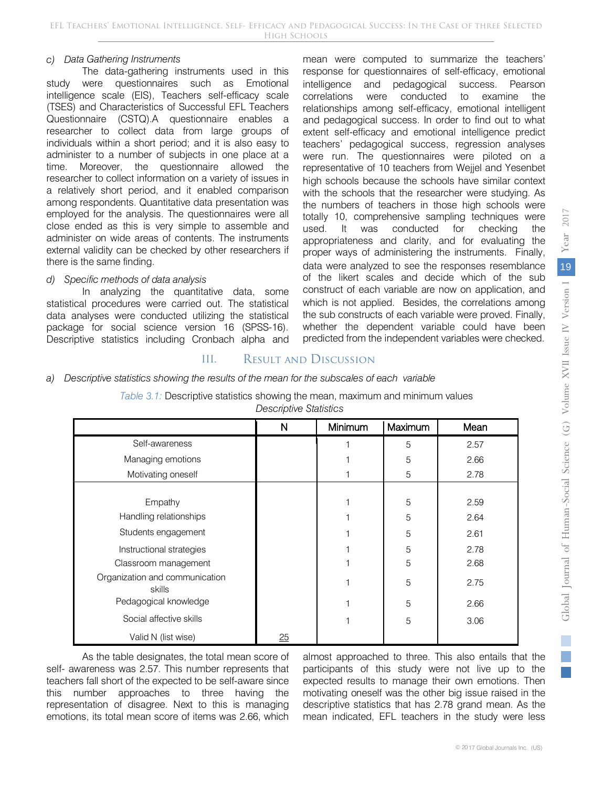#### *c) Data Gathering Instruments*

The data-gathering instruments used in this study were questionnaires such as Emotional intelligence scale (EIS), Teachers self-efficacy scale (TSES) and Characteristics of Successful EFL Teachers Questionnaire (CSTQ).A questionnaire enables a researcher to collect data from large groups of individuals within a short period; and it is also easy to administer to a number of subjects in one place at a time. Moreover, the questionnaire allowed the researcher to collect information on a variety of issues in a relatively short period, and it enabled comparison among respondents. Quantitative data presentation was employed for the analysis. The questionnaires were all close ended as this is very simple to assemble and administer on wide areas of contents. The instruments external validity can be checked by other researchers if there is the same finding.

#### *d) Specific methods of data analysis*

In analyzing the quantitative data, some statistical procedures were carried out. The statistical data analyses were conducted utilizing the statistical package for social science version 16 (SPSS-16). Descriptive statistics including Cronbach alpha and mean were computed to summarize the teachers' response for questionnaires of self-efficacy, emotional intelligence and pedagogical success. Pearson correlations were conducted to examine the relationships among self-efficacy, emotional intelligent and pedagogical success. In order to find out to what extent self-efficacy and emotional intelligence predict teachers' pedagogical success, regression analyses were run. The questionnaires were piloted on a representative of 10 teachers from Wejjel and Yesenbet high schools because the schools have similar context with the schools that the researcher were studying. As the numbers of teachers in those high schools were totally 10, comprehensive sampling techniques were used. It was conducted for checking the appropriateness and clarity, and for evaluating the proper ways of administering the instruments. Finally, data were analyzed to see the responses resemblance of the likert scales and decide which of the sub construct of each variable are now on application, and which is not applied. Besides, the correlations among the sub constructs of each variable were proved. Finally, whether the dependent variable could have been predicted from the independent variables were checked.

# III. Result and Discussion

#### *a) Descriptive statistics showing the results of the mean for the subscales of each variable*

| Table 3.1: Descriptive statistics showing the mean, maximum and minimum values |                        |  |
|--------------------------------------------------------------------------------|------------------------|--|
|                                                                                | Descriptive Statistics |  |

|                                          | N  | Minimum | Maximum | Mean |
|------------------------------------------|----|---------|---------|------|
| Self-awareness                           |    |         | 5       | 2.57 |
| Managing emotions                        |    |         | 5       | 2.66 |
| Motivating oneself                       |    |         | 5       | 2.78 |
|                                          |    |         |         |      |
| Empathy                                  |    |         | 5       | 2.59 |
| Handling relationships                   |    |         | 5       | 2.64 |
| Students engagement                      |    |         | 5       | 2.61 |
| Instructional strategies                 |    |         | 5       | 2.78 |
| Classroom management                     |    |         | 5       | 2.68 |
| Organization and communication<br>skills |    |         | 5       | 2.75 |
| Pedagogical knowledge                    |    |         | 5       | 2.66 |
| Social affective skills                  |    |         | 5       | 3.06 |
| Valid N (list wise)                      | 25 |         |         |      |

As the table designates, the total mean score of self- awareness was 2.57. This number represents that teachers fall short of the expected to be self-aware since this number approaches to three having the representation of disagree. Next to this is managing emotions, its total mean score of items was 2.66, which

almost approached to three. This also entails that the participants of this study were not live up to the expected results to manage their own emotions. Then motivating oneself was the other big issue raised in the descriptive statistics that has 2.78 grand mean. As the mean indicated, EFL teachers in the study were less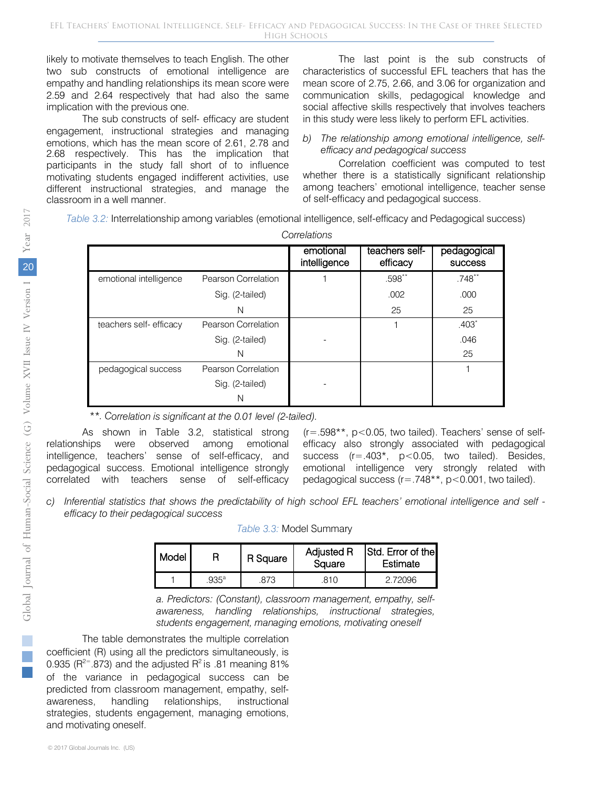likely to motivate themselves to teach English. The other two sub constructs of emotional intelligence are empathy and handling relationships its mean score were 2.59 and 2.64 respectively that had also the same implication with the previous one.

The sub constructs of self- efficacy are student engagement, instructional strategies and managing emotions, which has the mean score of 2.61, 2.78 and 2.68 respectively. This has the implication that participants in the study fall short of to influence motivating students engaged indifferent activities, use different instructional strategies, and manage the classroom in a well manner.

The last point is the sub constructs of characteristics of successful EFL teachers that has the mean score of 2.75, 2.66, and 3.06 for organization and communication skills, pedagogical knowledge and social affective skills respectively that involves teachers in this study were less likely to perform EFL activities.

#### *b) The relationship among emotional intelligence, selfefficacy and pedagogical success*

Correlation coefficient was computed to test whether there is a statistically significant relationship among teachers' emotional intelligence, teacher sense of self-efficacy and pedagogical success.

*Table 3.2:* Interrelationship among variables (emotional intelligence, self-efficacy and Pedagogical success)

|                         |                     | Correlations              |                            |                               |
|-------------------------|---------------------|---------------------------|----------------------------|-------------------------------|
|                         |                     | emotional<br>intelligence | teachers self-<br>efficacy | pedagogical<br><b>SUCCESS</b> |
| emotional intelligence  | Pearson Correlation |                           | .598**                     | $.748***$                     |
|                         | Sig. (2-tailed)     |                           | .002                       | .000                          |
|                         | N                   |                           | 25                         | 25                            |
| teachers self- efficacy | Pearson Correlation |                           |                            | $.403*$                       |
|                         | Sig. (2-tailed)     |                           |                            | .046                          |
|                         | N                   |                           |                            | 25                            |
| pedagogical success     | Pearson Correlation |                           |                            |                               |
|                         | Sig. (2-tailed)     |                           |                            |                               |
|                         |                     |                           |                            |                               |

*\*\*. Correlation is significant at the 0.01 level (2-tailed).*

As shown in Table 3.2, statistical strong relationships were observed among emotional intelligence, teachers' sense of self-efficacy, and pedagogical success. Emotional intelligence strongly correlated with teachers sense of self-efficacy

 $(r=.598**, p<0.05,$  two tailed). Teachers' sense of selfefficacy also strongly associated with pedagogical success (r=.403<sup>\*</sup>, p<0.05, two tailed). Besides, emotional intelligence very strongly related with pedagogical success (r=.748\*\*, p<0.001, two tailed).

*c) Inferential statistics that shows the predictability of high school EFL teachers' emotional intelligence and self efficacy to their pedagogical success*

| Table 3.3: Model Summary |  |
|--------------------------|--|
|--------------------------|--|

| Model |               | R Square | <b>Adjusted R</b><br>Square | <b>Std.</b> Error of the<br>Estimate |  |
|-------|---------------|----------|-----------------------------|--------------------------------------|--|
|       | $935^{\circ}$ | 873      | 81 N                        | 2 72096                              |  |

*a. Predictors: (Constant), classroom management, empathy, selfawareness, handling relationships, instructional strategies, students engagement, managing emotions, motivating oneself*

The table demonstrates the multiple correlation coefficient (R) using all the predictors simultaneously, is 0.935 ( $R^{2}$ = .873) and the adjusted  $R^2$  is .81 meaning 81% of the variance in pedagogical success can be predicted from classroom management, empathy, selfawareness, handling relationships, instructional strategies, students engagement, managing emotions, and motivating oneself.

i. p.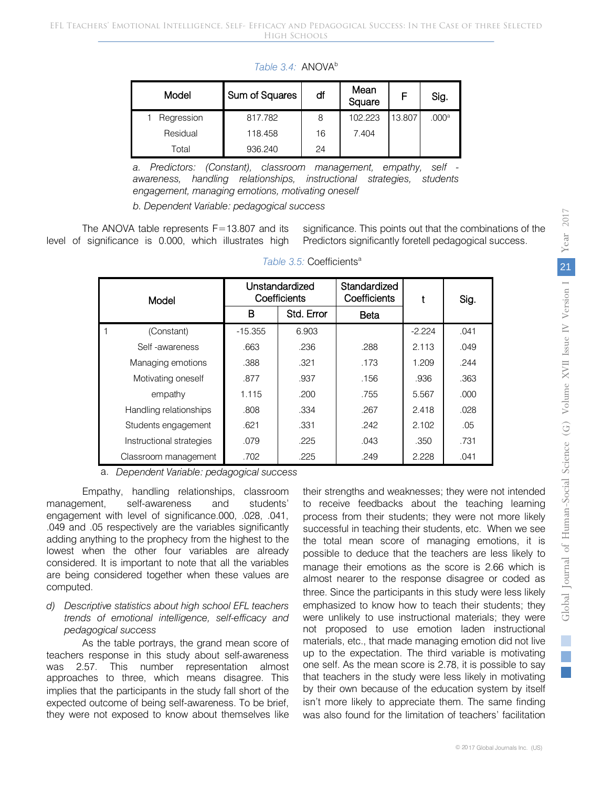| Model      | Sum of Squares | df | Mean<br>Square | F      | Sig.              |
|------------|----------------|----|----------------|--------|-------------------|
| Regression | 817.782        | 8  | 102.223        | 13.807 | .000 <sup>a</sup> |
| Residual   | 118,458        | 16 | 7.404          |        |                   |
| Total      | 936.240        | 24 |                |        |                   |

Table 3.4: ANOVA<sup>b</sup>

*a. Predictors: (Constant), classroom management, empathy, self awareness, handling relationships, instructional strategies, students engagement, managing emotions, motivating oneself*

*b. Dependent Variable: pedagogical success*

The ANOVA table represents F=13.807 and its level of significance is 0.000, which illustrates high

significance. This points out that the combinations of the Predictors significantly foretell pedagogical success.

| Model                    |           | Unstandardized<br>Coefficients | Standardized<br>Coefficients |          | Sig. |
|--------------------------|-----------|--------------------------------|------------------------------|----------|------|
|                          | в         | Std. Error                     | Beta                         |          |      |
| (Constant)               | $-15.355$ | 6.903                          |                              | $-2.224$ | .041 |
| Self-awareness           | .663      | .236                           | .288                         | 2.113    | .049 |
| Managing emotions        | .388      | .321                           | .173                         | 1.209    | .244 |
| Motivating oneself       | .877      | .937                           | .156                         | .936     | .363 |
| empathy                  | 1.115     | .200                           | .755                         | 5.567    | .000 |
| Handling relationships   | .808      | .334                           | .267                         | 2.418    | .028 |
| Students engagement      | .621      | .331                           | .242                         | 2.102    | .05  |
| Instructional strategies | .079      | .225                           | .043                         | .350     | .731 |
| Classroom management     | .702      | .225                           | .249                         | 2.228    | .041 |

#### Table 3.5: Coefficients<sup>a</sup>

a. *Dependent Variable: pedagogical success*

Empathy, handling relationships, classroom management, self-awareness and students' engagement with level of significance.000, .028, .041, .049 and .05 respectively are the variables significantly adding anything to the prophecy from the highest to the lowest when the other four variables are already considered. It is important to note that all the variables are being considered together when these values are computed.

#### *d) Descriptive statistics about high school EFL teachers trends of emotional intelligence, self-efficacy and pedagogical success*

As the table portrays, the grand mean score of teachers response in this study about self-awareness was 2.57. This number representation almost approaches to three, which means disagree. This implies that the participants in the study fall short of the expected outcome of being self-awareness. To be brief, they were not exposed to know about themselves like their strengths and weaknesses; they were not intended to receive feedbacks about the teaching learning process from their students; they were not more likely successful in teaching their students, etc. When we see the total mean score of managing emotions, it is possible to deduce that the teachers are less likely to manage their emotions as the score is 2.66 which is almost nearer to the response disagree or coded as three. Since the participants in this study were less likely emphasized to know how to teach their students; they were unlikely to use instructional materials; they were not proposed to use emotion laden instructional materials, etc., that made managing emotion did not live up to the expectation. The third variable is motivating one self. As the mean score is 2.78, it is possible to say that teachers in the study were less likely in motivating by their own because of the education system by itself isn't more likely to appreciate them. The same finding was also found for the limitation of teachers' facilitation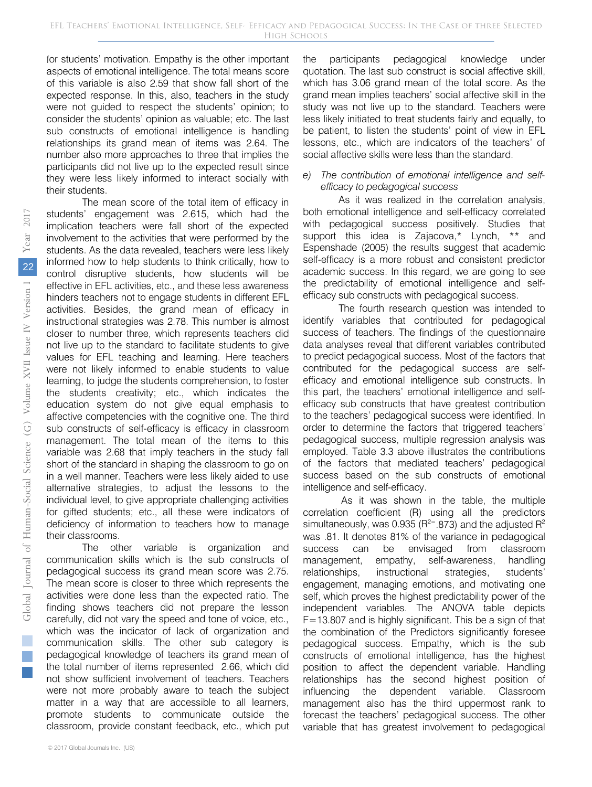for students' motivation. Empathy is the other important aspects of emotional intelligence. The total means score of this variable is also 2.59 that show fall short of the expected response. In this, also, teachers in the study were not guided to respect the students' opinion; to consider the students' opinion as valuable; etc. The last sub constructs of emotional intelligence is handling relationships its grand mean of items was 2.64. The number also more approaches to three that implies the participants did not live up to the expected result since they were less likely informed to interact socially with their students.

The mean score of the total item of efficacy in students' engagement was 2.615, which had the implication teachers were fall short of the expected involvement to the activities that were performed by the students. As the data revealed, teachers were less likely informed how to help students to think critically, how to control disruptive students, how students will be effective in EFL activities, etc., and these less awareness hinders teachers not to engage students in different EFL activities. Besides, the grand mean of efficacy in instructional strategies was 2.78. This number is almost closer to number three, which represents teachers did not live up to the standard to facilitate students to give values for EFL teaching and learning. Here teachers were not likely informed to enable students to value learning, to judge the students comprehension, to foster the students creativity; etc., which indicates the education system do not give equal emphasis to affective competencies with the cognitive one. The third sub constructs of self-efficacy is efficacy in classroom management. The total mean of the items to this variable was 2.68 that imply teachers in the study fall short of the standard in shaping the classroom to go on in a well manner. Teachers were less likely aided to use alternative strategies, to adjust the lessons to the individual level, to give appropriate challenging activities for gifted students; etc., all these were indicators of deficiency of information to teachers how to manage their classrooms.

The other variable is organization and communication skills which is the sub constructs of pedagogical success its grand mean score was 2.75. The mean score is closer to three which represents the activities were done less than the expected ratio. The finding shows teachers did not prepare the lesson carefully, did not vary the speed and tone of voice, etc., which was the indicator of lack of organization and communication skills. The other sub category is pedagogical knowledge of teachers its grand mean of the total number of items represented 2.66, which did not show sufficient involvement of teachers. Teachers were not more probably aware to teach the subject matter in a way that are accessible to all learners, promote students to communicate outside the classroom, provide constant feedback, etc., which put

the participants pedagogical knowledge under quotation. The last sub construct is social affective skill, which has 3.06 grand mean of the total score. As the grand mean implies teachers' social affective skill in the study was not live up to the standard. Teachers were less likely initiated to treat students fairly and equally, to be patient, to listen the students' point of view in EFL lessons, etc., which are indicators of the teachers' of social affective skills were less than the standard.

#### *e) The contribution of emotional intelligence and selfefficacy to pedagogical success*

As it was realized in the correlation analysis, both emotional intelligence and self-efficacy correlated with pedagogical success positively. Studies that support this idea is Zajacova,\* Lynch, \*\* and Espenshade (2005) the results suggest that academic self-efficacy is a more robust and consistent predictor academic success. In this regard, we are going to see the predictability of emotional intelligence and selfefficacy sub constructs with pedagogical success.

The fourth research question was intended to identify variables that contributed for pedagogical success of teachers. The findings of the questionnaire data analyses reveal that different variables contributed to predict pedagogical success. Most of the factors that contributed for the pedagogical success are selfefficacy and emotional intelligence sub constructs. In this part, the teachers' emotional intelligence and selfefficacy sub constructs that have greatest contribution to the teachers' pedagogical success were identified. In order to determine the factors that triggered teachers' pedagogical success, multiple regression analysis was employed. Table 3.3 above illustrates the contributions of the factors that mediated teachers' pedagogical success based on the sub constructs of emotional intelligence and self-efficacy.

As it was shown in the table, the multiple correlation coefficient (R) using all the predictors simultaneously, was 0.935 ( $R^{2}$ =.873) and the adjusted  $R^2$ was .81. It denotes 81% of the variance in pedagogical success can be envisaged from classroom management, empathy, self-awareness, handling relationships, instructional strategies, students' engagement, managing emotions, and motivating one self, which proves the highest predictability power of the independent variables. The ANOVA table depicts F=13.807 and is highly significant. This be a sign of that the combination of the Predictors significantly foresee pedagogical success. Empathy, which is the sub constructs of emotional intelligence, has the highest position to affect the dependent variable. Handling relationships has the second highest position of influencing the dependent variable. Classroom management also has the third uppermost rank to forecast the teachers' pedagogical success. The other variable that has greatest involvement to pedagogical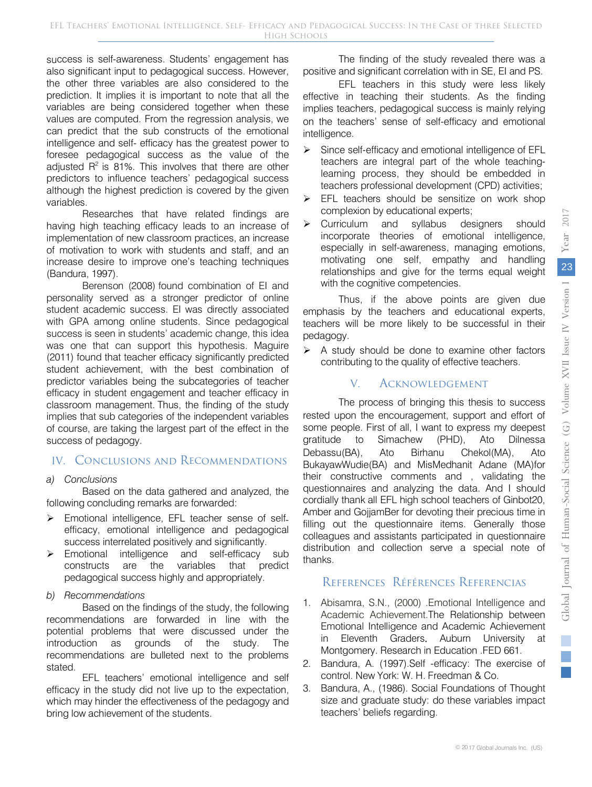success is self-awareness. Students' engagement has also significant input to pedagogical success. However, the other three variables are also considered to the prediction. It implies it is important to note that all the variables are being considered together when these values are computed. From the regression analysis, we can predict that the sub constructs of the emotional intelligence and self- efficacy has the greatest power to foresee pedagogical success as the value of the adjusted  $R^2$  is 81%. This involves that there are other predictors to influence teachers' pedagogical success although the highest prediction is covered by the given variables.

Researches that have related findings are having high teaching efficacy leads to an increase of implementation of new classroom practices, an increase of motivation to work with students and staff, and an increase desire to improve one's teaching techniques (Bandura, 1997).

Berenson (2008) found combination of EI and personality served as a stronger predictor of online student academic success. EI was directly associated with GPA among online students. Since pedagogical success is seen in students' academic change, this idea was one that can support this hypothesis. Maguire (2011) found that teacher efficacy significantly predicted student achievement, with the best combination of predictor variables being the subcategories of teacher efficacy in student engagement and teacher efficacy in classroom management. Thus, the finding of the study implies that sub categories of the independent variables of course, are taking the largest part of the effect in the success of pedagogy.

### IV. Conclusions and Recommendations

#### *a) Conclusions*

Based on the data gathered and analyzed, the following concluding remarks are forwarded:

- > Emotional intelligence, EFL teacher sense of selfefficacy, emotional intelligence and pedagogical success interrelated positively and significantly.
- Emotional intelligence and self-efficacy sub constructs are the variables that predict pedagogical success highly and appropriately.
- *b) Recommendations*

Based on the findings of the study, the following recommendations are forwarded in line with the potential problems that were discussed under the introduction as grounds of the study. The recommendations are bulleted next to the problems stated.

EFL teachers' emotional intelligence and self efficacy in the study did not live up to the expectation, which may hinder the effectiveness of the pedagogy and bring low achievement of the students.

The finding of the study revealed there was a positive and significant correlation with in SE, EI and PS.

EFL teachers in this study were less likely effective in teaching their students. As the finding implies teachers, pedagogical success is mainly relying on the teachers' sense of self-efficacy and emotional intelligence.

- Since self-efficacy and emotional intelligence of EFL teachers are integral part of the whole teachinglearning process, they should be embedded in teachers professional development (CPD) activities;
- $\triangleright$  EFL teachers should be sensitize on work shop complexion by educational experts;
- > Curriculum and syllabus designers should incorporate theories of emotional intelligence, especially in self-awareness, managing emotions, motivating one self, empathy and handling relationships and give for the terms equal weight with the cognitive competencies.

Thus, if the above points are given due emphasis by the teachers and educational experts, teachers will be more likely to be successful in their pedagogy.

 $\triangleright$  A study should be done to examine other factors contributing to the quality of effective teachers.

## V. Acknowledgement

The process of bringing this thesis to success rested upon the encouragement, support and effort of some people. First of all, I want to express my deepest gratitude to Simachew (PHD), Ato Dilnessa Debassu(BA), Ato Birhanu Chekol(MA), Ato BukayawWudie(BA) and MisMedhanit Adane (MA)for their constructive comments and , validating the questionnaires and analyzing the data. And I should cordially thank all EFL high school teachers of Ginbot20, Amber and GojjamBer for devoting their precious time in filling out the questionnaire items. Generally those colleagues and assistants participated in questionnaire distribution and collection serve a special note of thanks.

# References Références Referencias

- 1. Abisamra, S.N., (2000) .Emotional Intelligence and Academic Achievement.The Relationship between Emotional Intelligence and Academic Achievement in Eleventh Graders. Auburn University at Montgomery. Research in Education .FED 661.
- 2. Bandura, A. (1997).Self -efficacy: The exercise of control. New York: W. H. Freedman & Co.
- 3. Bandura, A., (1986). Social Foundations of Thought size and graduate study: do these variables impact teachers' beliefs regarding.